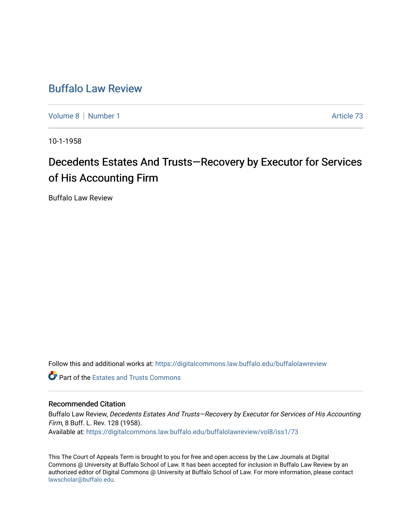## [Buffalo Law Review](https://digitalcommons.law.buffalo.edu/buffalolawreview)

[Volume 8](https://digitalcommons.law.buffalo.edu/buffalolawreview/vol8) | [Number 1](https://digitalcommons.law.buffalo.edu/buffalolawreview/vol8/iss1) Article 73

10-1-1958

# Decedents Estates And Trusts-Recovery by Executor for Services of His Accounting Firm

Buffalo Law Review

Follow this and additional works at: [https://digitalcommons.law.buffalo.edu/buffalolawreview](https://digitalcommons.law.buffalo.edu/buffalolawreview?utm_source=digitalcommons.law.buffalo.edu%2Fbuffalolawreview%2Fvol8%2Fiss1%2F73&utm_medium=PDF&utm_campaign=PDFCoverPages) 

**C** Part of the Estates and Trusts Commons

### Recommended Citation

Buffalo Law Review, Decedents Estates And Trusts—Recovery by Executor for Services of His Accounting Firm, 8 Buff. L. Rev. 128 (1958). Available at: [https://digitalcommons.law.buffalo.edu/buffalolawreview/vol8/iss1/73](https://digitalcommons.law.buffalo.edu/buffalolawreview/vol8/iss1/73?utm_source=digitalcommons.law.buffalo.edu%2Fbuffalolawreview%2Fvol8%2Fiss1%2F73&utm_medium=PDF&utm_campaign=PDFCoverPages) 

This The Court of Appeals Term is brought to you for free and open access by the Law Journals at Digital Commons @ University at Buffalo School of Law. It has been accepted for inclusion in Buffalo Law Review by an authorized editor of Digital Commons @ University at Buffalo School of Law. For more information, please contact [lawscholar@buffalo.edu](mailto:lawscholar@buffalo.edu).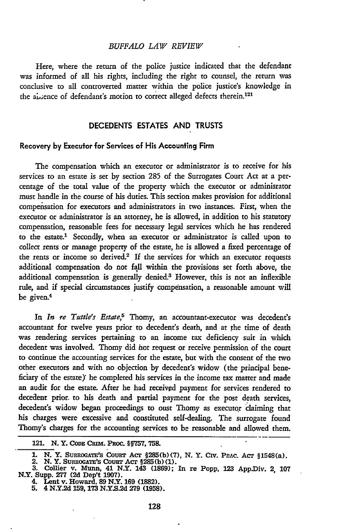#### *BUFFALO LAW REVIEW*

Here, where the return of the police justice indicated that the defendant was informed of all his rights, including the right to counsel, the return was conclusive to all controverted matter within the police justice's knowledge in the absence of defendant's motion to correct alleged defects therein.<sup>121</sup>

#### **DECEDENTS ESTATES AND TRUSTS**

#### **Recovery by Execufor for Services of His Accounting Firm**

The compensation which an executor or administrator is to receive for his services to an estate is set by section 285 of the Surrogates Court Act at a percentage of the total value of the property which the executor or adminisrator must handle in the course of his duties. This section makes provision for additional compensation for executors and administrators in two instances. First, when the executor or administrator is an attorney, he is allowed, in addition to his statutory compensation, reasonable fees for necessary legal services which he has rendered to the estate.1 Secondly, when an executor or administrator is called upon to collect rents or manage property of the estate, he is allowed a fixed percentage of the rents or income so derived.<sup>2</sup> If the services for which an executor requests additional compensation do not **fall** within the provisions set forth above, the additional compensation is generally denied.<sup>3</sup> However, this is not an inflexible rule, and if special circumstances justify compensation, a reasonable amount will be given.<sup>4</sup>

In *In re Tuttle's Estate*,<sup>5</sup> Thomy, an accountant-executor was decedent's accountant for twelve years prior to decedent's death, and at the time of death was rendering services pertaining to an income tax deficiency suit in which decedent was involved. Thorny did **hot** request or receive permission of the court to continue the accounting services for the estate, but with the consent of the two other executors and with no objection by decedent's widow (the principal beneficiary of the estate)' he completed his services in the income tax matter and made an audit for the estate. After he had received payment for services rendered to decedent prior, to his death and partial payment for the post death services, decedent's widow began proceedings to oust Thomy as executor claiming that his charges were excessive and constituted self-dealing. The surrogate found Thomy's charges for the accounting services to be reasonable and allowed them.

<sup>121.</sup> N.Y. CoDE CRm. PRoc. **§§757, 758.**

**<sup>1.</sup> N. Y. SURROGATE'S COURT ACT §285(b)(7), N. Y. CIV. PRAC. ACT §1548(a).**<br>2. N. Y. SURROGATE'S COURT ACT §285(b)(1).

**<sup>3.</sup> Collier** v. Munn, 41 N.Y. 143 **(1869);** In re Popp, **123** App.Dlv. 2, **107** N.Y. Supp. **277 (2d** Dep't **1907).** 4. Lent v. Howard, **89** N.Y. **169 (1882).**

**<sup>5.</sup>** 4 N.Y.2d **159, 173 N.Y.S.2d 279 (1958).**